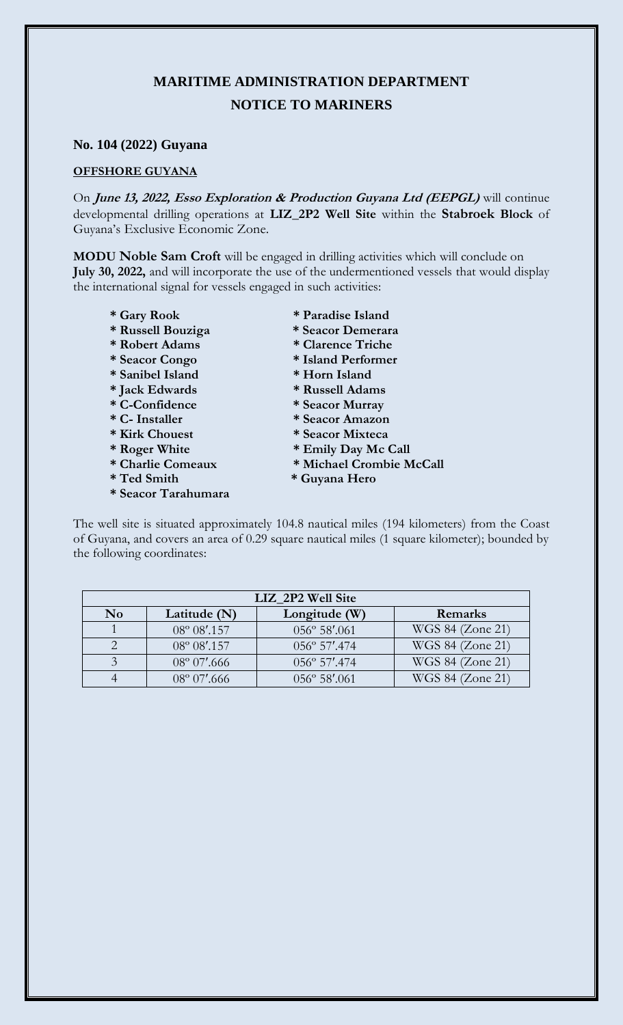## **MARITIME ADMINISTRATION DEPARTMENT NOTICE TO MARINERS**

## **No. 104 (2022) Guyana**

## **OFFSHORE GUYANA**

On **June 13, 2022, Esso Exploration & Production Guyana Ltd (EEPGL)** will continue developmental drilling operations at **LIZ\_2P2 Well Site** within the **Stabroek Block** of Guyana's Exclusive Economic Zone.

**MODU Noble Sam Croft** will be engaged in drilling activities which will conclude on **July 30, 2022,** and will incorporate the use of the undermentioned vessels that would display the international signal for vessels engaged in such activities:

- 
- 
- 
- 
- **\* Sanibel Island \* Horn Island**
- 
- 
- 
- 
- 
- 
- 
- **\* Seacor Tarahumara**
- **\* Gary Rook \* Paradise Island**
- **\* Russell Bouziga \* Seacor Demerara**
- **\* Robert Adams \* Clarence Triche**
- **\* Seacor Congo \* Island Performer** 
	-
- **\* Jack Edwards \* Russell Adams**
- **\* C-Confidence \* Seacor Murray**
- **\* C- Installer \* Seacor Amazon**
- **\* Kirk Chouest \* Seacor Mixteca** 
	-
- \* Roger White \* Emily Day Mc Call<br>\* Charlie Comeaux \* Michael Crombie M  $*$  Michael Crombie McCall
- **\* Ted Smith \* Guyana Hero**

The well site is situated approximately 104.8 nautical miles (194 kilometers) from the Coast of Guyana, and covers an area of 0.29 square nautical miles (1 square kilometer); bounded by the following coordinates:

| LIZ 2P2 Well Site |                       |                        |                  |
|-------------------|-----------------------|------------------------|------------------|
| N <sub>0</sub>    | Latitude $(N)$        | Longitude (W)          | Remarks          |
|                   | $08^{\circ} 08'$ .157 | $056^{\circ} 58'$ .061 | WGS 84 (Zone 21) |
|                   | $08^{\circ}$ 08'.157  | $056^{\circ}$ 57'.474  | WGS 84 (Zone 21) |
|                   | $08^{\circ} 07'.666$  | 056° 57'.474           | WGS 84 (Zone 21) |
|                   | $08^{\circ} 07'.666$  | 056° 58'.061           | WGS 84 (Zone 21) |